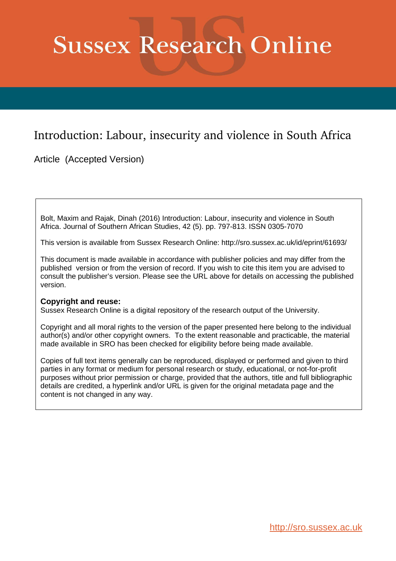# **Sussex Research Online**

# Introduction: Labour, insecurity and violence in South Africa

Article (Accepted Version)

Bolt, Maxim and Rajak, Dinah (2016) Introduction: Labour, insecurity and violence in South Africa. Journal of Southern African Studies, 42 (5). pp. 797-813. ISSN 0305-7070

This version is available from Sussex Research Online: http://sro.sussex.ac.uk/id/eprint/61693/

This document is made available in accordance with publisher policies and may differ from the published version or from the version of record. If you wish to cite this item you are advised to consult the publisher's version. Please see the URL above for details on accessing the published version.

# **Copyright and reuse:**

Sussex Research Online is a digital repository of the research output of the University.

Copyright and all moral rights to the version of the paper presented here belong to the individual author(s) and/or other copyright owners. To the extent reasonable and practicable, the material made available in SRO has been checked for eligibility before being made available.

Copies of full text items generally can be reproduced, displayed or performed and given to third parties in any format or medium for personal research or study, educational, or not-for-profit purposes without prior permission or charge, provided that the authors, title and full bibliographic details are credited, a hyperlink and/or URL is given for the original metadata page and the content is not changed in any way.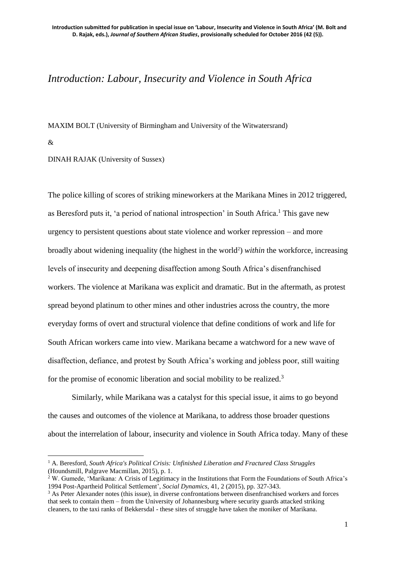# *Introduction: Labour, Insecurity and Violence in South Africa*

MAXIM BOLT (University of Birmingham and University of the Witwatersrand)

&

**.** 

DINAH RAJAK (University of Sussex)

The police killing of scores of striking mineworkers at the Marikana Mines in 2012 triggered, as Beresford puts it, 'a period of national introspection' in South Africa.<sup>1</sup> This gave new urgency to persistent questions about state violence and worker repression – and more broadly about widening inequality (the highest in the world<sup>2</sup>) *within* the workforce, increasing levels of insecurity and deepening disaffection among South Africa's disenfranchised workers. The violence at Marikana was explicit and dramatic. But in the aftermath, as protest spread beyond platinum to other mines and other industries across the country, the more everyday forms of overt and structural violence that define conditions of work and life for South African workers came into view. Marikana became a watchword for a new wave of disaffection, defiance, and protest by South Africa's working and jobless poor, still waiting for the promise of economic liberation and social mobility to be realized.<sup>3</sup>

Similarly, while Marikana was a catalyst for this special issue, it aims to go beyond the causes and outcomes of the violence at Marikana, to address those broader questions about the interrelation of labour, insecurity and violence in South Africa today. Many of these

<sup>1</sup> A. Beresford, *South Africa's Political Crisis: Unfinished Liberation and Fractured Class Struggles* (Houndsmill, Palgrave Macmillan, 2015), p. 1.

<sup>2</sup> W. Gumede, 'Marikana: A Crisis of Legitimacy in the Institutions that Form the Foundations of South Africa's 1994 Post-Apartheid Political Settlement', *Social Dynamics*, 41, 2 (2015), pp. 327-343.

<sup>3</sup> As Peter Alexander notes (this issue), in diverse confrontations between disenfranchised workers and forces that seek to contain them – from the University of Johannesburg where security guards attacked striking cleaners, to the taxi ranks of Bekkersdal - these sites of struggle have taken the moniker of Marikana.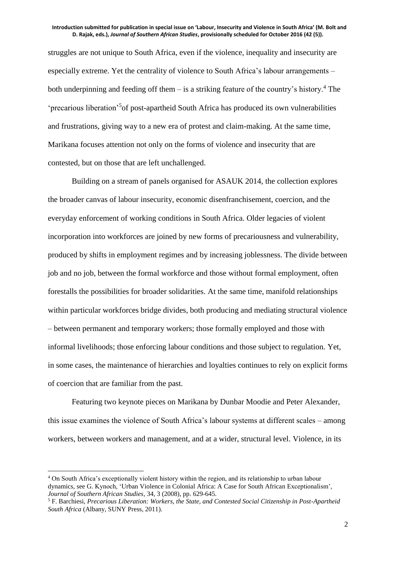struggles are not unique to South Africa, even if the violence, inequality and insecurity are especially extreme. Yet the centrality of violence to South Africa's labour arrangements – both underpinning and feeding off them – is a striking feature of the country's history.<sup>4</sup> The 'precarious liberation'<sup>5</sup> of post-apartheid South Africa has produced its own vulnerabilities and frustrations, giving way to a new era of protest and claim-making. At the same time, Marikana focuses attention not only on the forms of violence and insecurity that are contested, but on those that are left unchallenged.

Building on a stream of panels organised for ASAUK 2014, the collection explores the broader canvas of labour insecurity, economic disenfranchisement, coercion, and the everyday enforcement of working conditions in South Africa. Older legacies of violent incorporation into workforces are joined by new forms of precariousness and vulnerability, produced by shifts in employment regimes and by increasing joblessness. The divide between job and no job, between the formal workforce and those without formal employment, often forestalls the possibilities for broader solidarities. At the same time, manifold relationships within particular workforces bridge divides, both producing and mediating structural violence – between permanent and temporary workers; those formally employed and those with informal livelihoods; those enforcing labour conditions and those subject to regulation. Yet, in some cases, the maintenance of hierarchies and loyalties continues to rely on explicit forms of coercion that are familiar from the past.

Featuring two keynote pieces on Marikana by Dunbar Moodie and Peter Alexander, this issue examines the violence of South Africa's labour systems at different scales – among workers, between workers and management, and at a wider, structural level. Violence, in its

<sup>4</sup> On South Africa's exceptionally violent history within the region, and its relationship to urban labour dynamics, see G. Kynoch, 'Urban Violence in Colonial Africa: A Case for South African Exceptionalism', *Journal of Southern African Studies*, 34, 3 (2008), pp. 629-645.

<sup>5</sup> F. Barchiesi, *Precarious Liberation: Workers, the State, and Contested Social Citizenship in Post-Apartheid South Africa* (Albany, SUNY Press, 2011).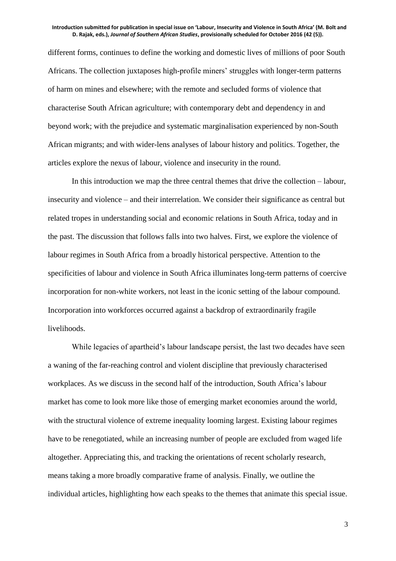different forms, continues to define the working and domestic lives of millions of poor South Africans. The collection juxtaposes high-profile miners' struggles with longer-term patterns of harm on mines and elsewhere; with the remote and secluded forms of violence that characterise South African agriculture; with contemporary debt and dependency in and beyond work; with the prejudice and systematic marginalisation experienced by non-South African migrants; and with wider-lens analyses of labour history and politics. Together, the articles explore the nexus of labour, violence and insecurity in the round.

In this introduction we map the three central themes that drive the collection – labour, insecurity and violence – and their interrelation. We consider their significance as central but related tropes in understanding social and economic relations in South Africa, today and in the past. The discussion that follows falls into two halves. First, we explore the violence of labour regimes in South Africa from a broadly historical perspective. Attention to the specificities of labour and violence in South Africa illuminates long-term patterns of coercive incorporation for non-white workers, not least in the iconic setting of the labour compound. Incorporation into workforces occurred against a backdrop of extraordinarily fragile livelihoods.

While legacies of apartheid's labour landscape persist, the last two decades have seen a waning of the far-reaching control and violent discipline that previously characterised workplaces. As we discuss in the second half of the introduction, South Africa's labour market has come to look more like those of emerging market economies around the world, with the structural violence of extreme inequality looming largest. Existing labour regimes have to be renegotiated, while an increasing number of people are excluded from waged life altogether. Appreciating this, and tracking the orientations of recent scholarly research, means taking a more broadly comparative frame of analysis. Finally, we outline the individual articles, highlighting how each speaks to the themes that animate this special issue.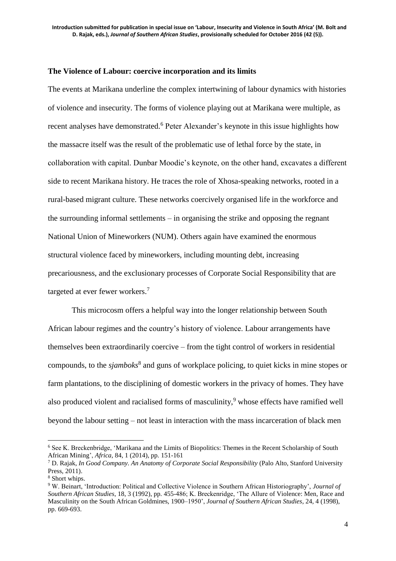## **The Violence of Labour: coercive incorporation and its limits**

The events at Marikana underline the complex intertwining of labour dynamics with histories of violence and insecurity. The forms of violence playing out at Marikana were multiple, as recent analyses have demonstrated.<sup>6</sup> Peter Alexander's keynote in this issue highlights how the massacre itself was the result of the problematic use of lethal force by the state, in collaboration with capital. Dunbar Moodie's keynote, on the other hand, excavates a different side to recent Marikana history. He traces the role of Xhosa-speaking networks, rooted in a rural-based migrant culture. These networks coercively organised life in the workforce and the surrounding informal settlements – in organising the strike and opposing the regnant National Union of Mineworkers (NUM). Others again have examined the enormous structural violence faced by mineworkers, including mounting debt, increasing precariousness, and the exclusionary processes of Corporate Social Responsibility that are targeted at ever fewer workers.<sup>7</sup>

This microcosm offers a helpful way into the longer relationship between South African labour regimes and the country's history of violence. Labour arrangements have themselves been extraordinarily coercive – from the tight control of workers in residential compounds, to the *sjamboks*<sup>8</sup> and guns of workplace policing, to quiet kicks in mine stopes or farm plantations, to the disciplining of domestic workers in the privacy of homes. They have also produced violent and racialised forms of masculinity,<sup>9</sup> whose effects have ramified well beyond the labour setting – not least in interaction with the mass incarceration of black men

 $\overline{\phantom{a}}$ 

<sup>6</sup> See K. Breckenbridge, 'Marikana and the Limits of Biopolitics: Themes in the Recent Scholarship of South African Mining', *Africa*, 84, 1 (2014), pp. 151-161

<sup>7</sup> D. Rajak, *In Good Company. An Anatomy of Corporate Social Responsibility* (Palo Alto, Stanford University Press, 2011).

<sup>8</sup> Short whips.

<sup>9</sup> W. Beinart, 'Introduction: Political and Collective Violence in Southern African Historiography', *Journal of Southern African Studies*, 18, 3 (1992), pp. 455-486; K. Breckenridge, 'The Allure of Violence: Men, Race and Masculinity on the South African Goldmines, 1900–1950', *Journal of Southern African Studies*, 24, 4 (1998), pp. 669-693.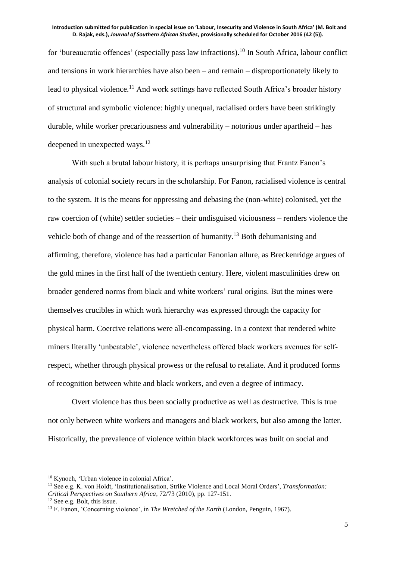for 'bureaucratic offences' (especially pass law infractions). <sup>10</sup> In South Africa, labour conflict and tensions in work hierarchies have also been – and remain – disproportionately likely to lead to physical violence.<sup>11</sup> And work settings have reflected South Africa's broader history of structural and symbolic violence: highly unequal, racialised orders have been strikingly durable, while worker precariousness and vulnerability – notorious under apartheid – has deepened in unexpected ways.<sup>12</sup>

With such a brutal labour history, it is perhaps unsurprising that Frantz Fanon's analysis of colonial society recurs in the scholarship. For Fanon, racialised violence is central to the system. It is the means for oppressing and debasing the (non-white) colonised, yet the raw coercion of (white) settler societies – their undisguised viciousness – renders violence the vehicle both of change and of the reassertion of humanity.<sup>13</sup> Both dehumanising and affirming, therefore, violence has had a particular Fanonian allure, as Breckenridge argues of the gold mines in the first half of the twentieth century. Here, violent masculinities drew on broader gendered norms from black and white workers' rural origins. But the mines were themselves crucibles in which work hierarchy was expressed through the capacity for physical harm. Coercive relations were all-encompassing. In a context that rendered white miners literally 'unbeatable', violence nevertheless offered black workers avenues for selfrespect, whether through physical prowess or the refusal to retaliate. And it produced forms of recognition between white and black workers, and even a degree of intimacy.

Overt violence has thus been socially productive as well as destructive. This is true not only between white workers and managers and black workers, but also among the latter. Historically, the prevalence of violence within black workforces was built on social and

<sup>10</sup> Kynoch, 'Urban violence in colonial Africa'.

<sup>11</sup> See e.g. K. von Holdt, 'Institutionalisation, Strike Violence and Local Moral Orders', *Transformation: Critical Perspectives on Southern Africa*, 72/73 (2010), pp. 127-151.

<sup>12</sup> See e.g. Bolt, this issue.

<sup>13</sup> F. Fanon, 'Concerning violence', in *The Wretched of the Earth* (London, Penguin, 1967).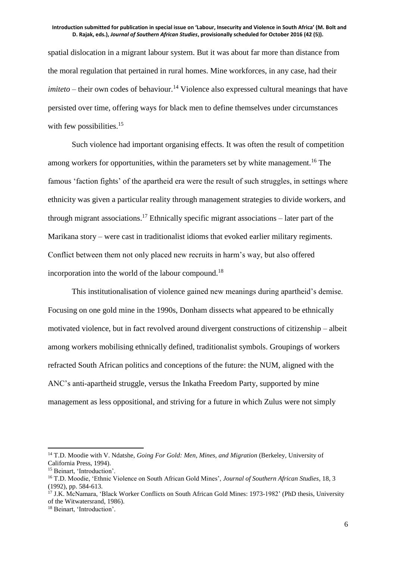spatial dislocation in a migrant labour system. But it was about far more than distance from the moral regulation that pertained in rural homes. Mine workforces, in any case, had their *imiteto* – their own codes of behaviour.<sup>14</sup> Violence also expressed cultural meanings that have persisted over time, offering ways for black men to define themselves under circumstances with few possibilities. $15$ 

Such violence had important organising effects. It was often the result of competition among workers for opportunities, within the parameters set by white management.<sup>16</sup> The famous 'faction fights' of the apartheid era were the result of such struggles, in settings where ethnicity was given a particular reality through management strategies to divide workers, and through migrant associations. <sup>17</sup> Ethnically specific migrant associations – later part of the Marikana story – were cast in traditionalist idioms that evoked earlier military regiments. Conflict between them not only placed new recruits in harm's way, but also offered incorporation into the world of the labour compound.<sup>18</sup>

This institutionalisation of violence gained new meanings during apartheid's demise. Focusing on one gold mine in the 1990s, Donham dissects what appeared to be ethnically motivated violence, but in fact revolved around divergent constructions of citizenship – albeit among workers mobilising ethnically defined, traditionalist symbols. Groupings of workers refracted South African politics and conceptions of the future: the NUM, aligned with the ANC's anti-apartheid struggle, versus the Inkatha Freedom Party, supported by mine management as less oppositional, and striving for a future in which Zulus were not simply

<sup>14</sup> T.D. Moodie with V. Ndatshe, *Going For Gold: Men, Mines, and Migration* (Berkeley, University of California Press, 1994).

<sup>&</sup>lt;sup>15</sup> Beinart, 'Introduction'.

<sup>16</sup> T.D. Moodie, 'Ethnic Violence on South African Gold Mines', *Journal of Southern African Studies*, 18, 3 (1992), pp. 584-613.

<sup>17</sup> J.K. McNamara, 'Black Worker Conflicts on South African Gold Mines: 1973-1982' (PhD thesis, University of the Witwatersrand, 1986).

<sup>18</sup> Beinart, 'Introduction'.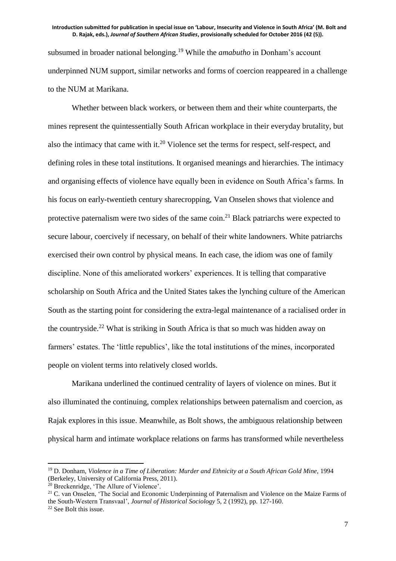subsumed in broader national belonging. <sup>19</sup> While the *amabutho* in Donham's account underpinned NUM support, similar networks and forms of coercion reappeared in a challenge to the NUM at Marikana.

Whether between black workers, or between them and their white counterparts, the mines represent the quintessentially South African workplace in their everyday brutality, but also the intimacy that came with it.<sup>20</sup> Violence set the terms for respect, self-respect, and defining roles in these total institutions. It organised meanings and hierarchies. The intimacy and organising effects of violence have equally been in evidence on South Africa's farms. In his focus on early-twentieth century sharecropping, Van Onselen shows that violence and protective paternalism were two sides of the same coin.<sup>21</sup> Black patriarchs were expected to secure labour, coercively if necessary, on behalf of their white landowners. White patriarchs exercised their own control by physical means. In each case, the idiom was one of family discipline. None of this ameliorated workers' experiences. It is telling that comparative scholarship on South Africa and the United States takes the lynching culture of the American South as the starting point for considering the extra-legal maintenance of a racialised order in the countryside.<sup>22</sup> What is striking in South Africa is that so much was hidden away on farmers' estates. The 'little republics', like the total institutions of the mines, incorporated people on violent terms into relatively closed worlds.

Marikana underlined the continued centrality of layers of violence on mines. But it also illuminated the continuing, complex relationships between paternalism and coercion, as Rajak explores in this issue. Meanwhile, as Bolt shows, the ambiguous relationship between physical harm and intimate workplace relations on farms has transformed while nevertheless

<sup>19</sup> D. Donham, *Violence in a Time of Liberation: Murder and Ethnicity at a South African Gold Mine*, 1994 (Berkeley, University of California Press, 2011).

<sup>20</sup> Breckenridge, 'The Allure of Violence'.

<sup>&</sup>lt;sup>21</sup> C. van Onselen, 'The Social and Economic Underpinning of Paternalism and Violence on the Maize Farms of the South-Western Transvaal', *Journal of Historical Sociology* 5, 2 (1992), pp. 127-160. <sup>22</sup> See Bolt this issue.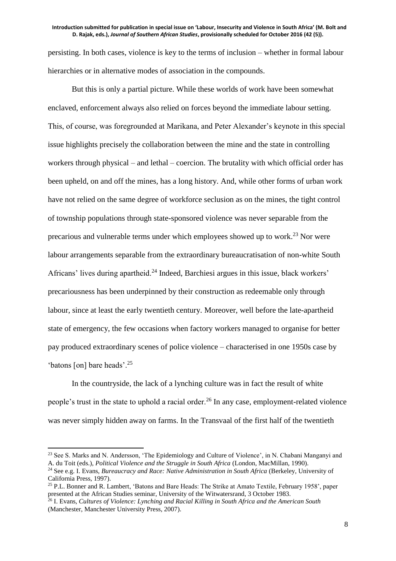persisting. In both cases, violence is key to the terms of inclusion – whether in formal labour hierarchies or in alternative modes of association in the compounds.

But this is only a partial picture. While these worlds of work have been somewhat enclaved, enforcement always also relied on forces beyond the immediate labour setting. This, of course, was foregrounded at Marikana, and Peter Alexander's keynote in this special issue highlights precisely the collaboration between the mine and the state in controlling workers through physical – and lethal – coercion. The brutality with which official order has been upheld, on and off the mines, has a long history. And, while other forms of urban work have not relied on the same degree of workforce seclusion as on the mines, the tight control of township populations through state-sponsored violence was never separable from the precarious and vulnerable terms under which employees showed up to work.<sup>23</sup> Nor were labour arrangements separable from the extraordinary bureaucratisation of non-white South Africans' lives during apartheid.<sup>24</sup> Indeed, Barchiesi argues in this issue, black workers' precariousness has been underpinned by their construction as redeemable only through labour, since at least the early twentieth century. Moreover, well before the late-apartheid state of emergency, the few occasions when factory workers managed to organise for better pay produced extraordinary scenes of police violence – characterised in one 1950s case by 'batons [on] bare heads'.<sup>25</sup>

In the countryside, the lack of a lynching culture was in fact the result of white people's trust in the state to uphold a racial order.<sup>26</sup> In any case, employment-related violence was never simply hidden away on farms. In the Transvaal of the first half of the twentieth

<sup>&</sup>lt;sup>23</sup> See S. Marks and N. Andersson, 'The Epidemiology and Culture of Violence', in N. Chabani Manganyi and A. du Toit (eds.), *Political Violence and the Struggle in South Africa* (London, MacMillan, 1990).

<sup>24</sup> See e.g. I. Evans, *Bureaucracy and Race: Native Administration in South Africa* (Berkeley, University of California Press, 1997).

<sup>&</sup>lt;sup>25</sup> P.L. Bonner and R. Lambert, 'Batons and Bare Heads: The Strike at Amato Textile, February 1958', paper presented at the African Studies seminar, University of the Witwatersrand, 3 October 1983.

<sup>26</sup> I. Evans, *Cultures of Violence: Lynching and Racial Killing in South Africa and the American South* (Manchester, Manchester University Press, 2007).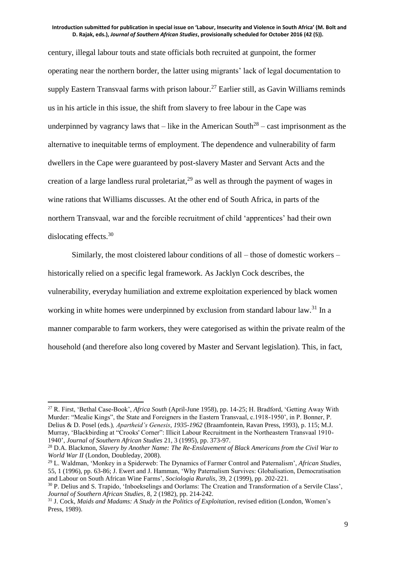century, illegal labour touts and state officials both recruited at gunpoint, the former operating near the northern border, the latter using migrants' lack of legal documentation to supply Eastern Transvaal farms with prison labour.<sup>27</sup> Earlier still, as Gavin Williams reminds us in his article in this issue, the shift from slavery to free labour in the Cape was underpinned by vagrancy laws that  $-$  like in the American South<sup>28</sup>  $-$  cast imprisonment as the alternative to inequitable terms of employment. The dependence and vulnerability of farm dwellers in the Cape were guaranteed by post-slavery Master and Servant Acts and the creation of a large landless rural proletariat, $^{29}$  as well as through the payment of wages in wine rations that Williams discusses. At the other end of South Africa, in parts of the northern Transvaal, war and the forcible recruitment of child 'apprentices' had their own dislocating effects.<sup>30</sup>

Similarly, the most cloistered labour conditions of all – those of domestic workers – historically relied on a specific legal framework. As Jacklyn Cock describes, the vulnerability, everyday humiliation and extreme exploitation experienced by black women working in white homes were underpinned by exclusion from standard labour law.<sup>31</sup> In a manner comparable to farm workers, they were categorised as within the private realm of the household (and therefore also long covered by Master and Servant legislation). This, in fact,

<sup>27</sup> R. First, 'Bethal Case-Book', *Africa South* (April-June 1958), pp. 14-25; H. Bradford, 'Getting Away With Murder: "Mealie Kings", the State and Foreigners in the Eastern Transvaal, c.1918-1950', in P. Bonner, P. Delius & D. Posel (eds.)*, Apartheid's Genesis, 1935-1962* (Braamfontein, Ravan Press, 1993), p. 115; M.J. Murray, 'Blackbirding at "Crooks' Corner": Illicit Labour Recruitment in the Northeastern Transvaal 1910- 1940', *Journal of Southern African Studies* 21, 3 (1995), pp. 373-97.

<sup>28</sup> D.A. Blackmon, *Slavery by Another Name: The Re-Enslavement of Black Americans from the Civil War to World War II* (London, Doubleday, 2008).

<sup>29</sup> L. Waldman, 'Monkey in a Spiderweb: The Dynamics of Farmer Control and Paternalism', *African Studies*, 55, 1 (1996), pp. 63-86; J. Ewert and J. Hamman, 'Why Paternalism Survives: Globalisation, Democratisation and Labour on South African Wine Farms', *Sociologia Ruralis*, 39, 2 (1999), pp. 202-221.

<sup>30</sup> P. Delius and S. Trapido, 'Inboekselings and Oorlams: The Creation and Transformation of a Servile Class', *Journal of Southern African Studies*, 8, 2 (1982), pp. 214-242.

<sup>31</sup> J. Cock, *Maids and Madams: A Study in the Politics of Exploitation*, revised edition (London, Women's Press, 1989).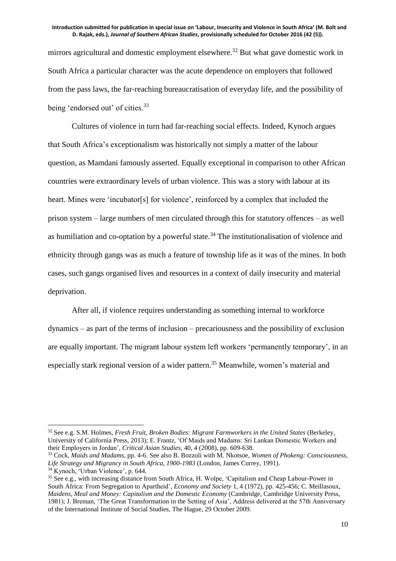mirrors agricultural and domestic employment elsewhere.<sup>32</sup> But what gave domestic work in South Africa a particular character was the acute dependence on employers that followed from the pass laws, the far-reaching bureaucratisation of everyday life, and the possibility of being 'endorsed out' of cities.<sup>33</sup>

Cultures of violence in turn had far-reaching social effects. Indeed, Kynoch argues that South Africa's exceptionalism was historically not simply a matter of the labour question, as Mamdani famously asserted. Equally exceptional in comparison to other African countries were extraordinary levels of urban violence. This was a story with labour at its heart. Mines were 'incubator[s] for violence', reinforced by a complex that included the prison system – large numbers of men circulated through this for statutory offences – as well as humiliation and co-optation by a powerful state.<sup>34</sup> The institutionalisation of violence and ethnicity through gangs was as much a feature of township life as it was of the mines. In both cases, such gangs organised lives and resources in a context of daily insecurity and material deprivation.

After all, if violence requires understanding as something internal to workforce dynamics – as part of the terms of inclusion – precariousness and the possibility of exclusion are equally important. The migrant labour system left workers 'permanently temporary', in an especially stark regional version of a wider pattern.<sup>35</sup> Meanwhile, women's material and

<sup>32</sup> See e.g. S.M. Holmes, *Fresh Fruit, Broken Bodies: Migrant Farmworkers in the United States* (Berkeley, University of California Press, 2013); E. Frantz, 'Of Maids and Madams: Sri Lankan Domestic Workers and their Employers in Jordan', *Critical Asian Studies*, 40, 4 (2008), pp. 609-638.

<sup>33</sup> Cock, *Maids and Madams*, pp. 4-6. See also B. Bozzoli with M. Nkotsoe, *Women of Phokeng: Consciousness, Life Strategy and Migrancy in South Africa, 1900-1983* (London, James Currey, 1991).

<sup>&</sup>lt;sup>34</sup> Kynoch, 'Urban Violence', p. 644.

<sup>35</sup> See e.g., with increasing distance from South Africa, H. Wolpe, 'Capitalism and Cheap Labour-Power in South Africa: From Segregation to Apartheid', *Economy and Society* 1, 4 (1972), pp. 425-456; C. Meillasoux, *Maidens, Meal and Money: Capitalism and the Domestic Economy* (Cambridge, Cambridge University Press, 1981); J. Breman, 'The Great Transformation in the Setting of Asia', Address delivered at the 57th Anniversary of the International Institute of Social Studies, The Hague, 29 October 2009.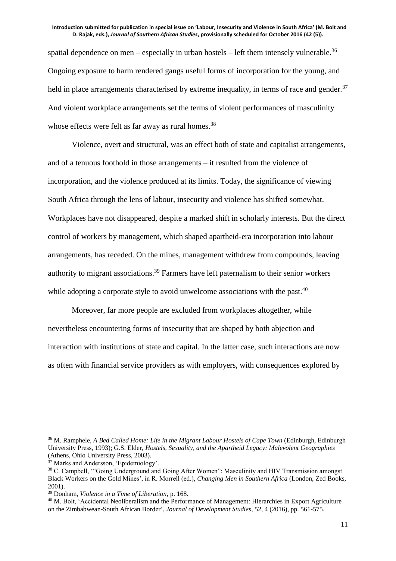spatial dependence on men – especially in urban hostels – left them intensely vulnerable.<sup>36</sup> Ongoing exposure to harm rendered gangs useful forms of incorporation for the young, and held in place arrangements characterised by extreme inequality, in terms of race and gender.<sup>37</sup> And violent workplace arrangements set the terms of violent performances of masculinity whose effects were felt as far away as rural homes.<sup>38</sup>

Violence, overt and structural, was an effect both of state and capitalist arrangements, and of a tenuous foothold in those arrangements – it resulted from the violence of incorporation, and the violence produced at its limits. Today, the significance of viewing South Africa through the lens of labour, insecurity and violence has shifted somewhat. Workplaces have not disappeared, despite a marked shift in scholarly interests. But the direct control of workers by management, which shaped apartheid-era incorporation into labour arrangements, has receded. On the mines, management withdrew from compounds, leaving authority to migrant associations.<sup>39</sup> Farmers have left paternalism to their senior workers while adopting a corporate style to avoid unwelcome associations with the past.<sup>40</sup>

Moreover, far more people are excluded from workplaces altogether, while nevertheless encountering forms of insecurity that are shaped by both abjection and interaction with institutions of state and capital. In the latter case, such interactions are now as often with financial service providers as with employers, with consequences explored by

<sup>36</sup> M. Ramphele, *A Bed Called Home: Life in the Migrant Labour Hostels of Cape Town* (Edinburgh, Edinburgh University Press, 1993); G.S. Elder, *Hostels, Sexuality, and the Apartheid Legacy: Malevolent Geographies* (Athens, Ohio University Press, 2003).

<sup>&</sup>lt;sup>37</sup> Marks and Andersson, 'Epidemiology'.

<sup>&</sup>lt;sup>38</sup> C. Campbell, "Going Underground and Going After Women": Masculinity and HIV Transmission amongst Black Workers on the Gold Mines', in R. Morrell (ed.), *Changing Men in Southern Africa* (London, Zed Books, 2001).

<sup>39</sup> Donham, *Violence in a Time of Liberation*, p. 168.

<sup>40</sup> M. Bolt, 'Accidental Neoliberalism and the Performance of Management: Hierarchies in Export Agriculture on the Zimbabwean-South African Border', *Journal of Development Studies*, 52, 4 (2016), pp. 561-575.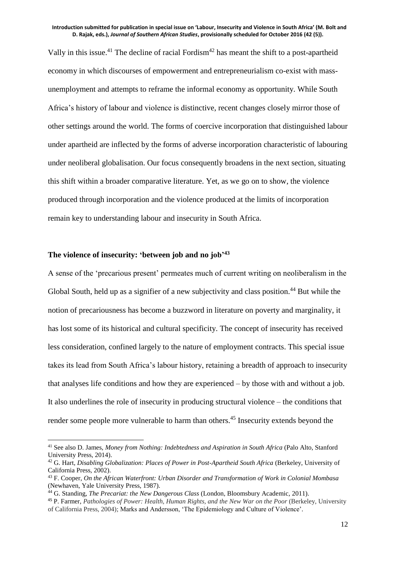Vally in this issue.<sup>41</sup> The decline of racial Fordism<sup>42</sup> has meant the shift to a post-apartheid economy in which discourses of empowerment and entrepreneurialism co-exist with massunemployment and attempts to reframe the informal economy as opportunity. While South Africa's history of labour and violence is distinctive, recent changes closely mirror those of other settings around the world. The forms of coercive incorporation that distinguished labour under apartheid are inflected by the forms of adverse incorporation characteristic of labouring under neoliberal globalisation. Our focus consequently broadens in the next section, situating this shift within a broader comparative literature. Yet, as we go on to show, the violence produced through incorporation and the violence produced at the limits of incorporation remain key to understanding labour and insecurity in South Africa.

# **The violence of insecurity: 'between job and no job'<sup>43</sup>**

 $\overline{\phantom{a}}$ 

A sense of the 'precarious present' permeates much of current writing on neoliberalism in the Global South, held up as a signifier of a new subjectivity and class position.<sup>44</sup> But while the notion of precariousness has become a buzzword in literature on poverty and marginality, it has lost some of its historical and cultural specificity. The concept of insecurity has received less consideration, confined largely to the nature of employment contracts. This special issue takes its lead from South Africa's labour history, retaining a breadth of approach to insecurity that analyses life conditions and how they are experienced – by those with and without a job. It also underlines the role of insecurity in producing structural violence – the conditions that render some people more vulnerable to harm than others.<sup>45</sup> Insecurity extends beyond the

<sup>41</sup> See also D. James, *Money from Nothing: Indebtedness and Aspiration in South Africa* (Palo Alto, Stanford University Press, 2014).

<sup>42</sup> G. Hart, *Disabling Globalization: Places of Power in Post-Apartheid South Africa* (Berkeley, University of California Press, 2002).

<sup>43</sup> F. Cooper, *On the African Waterfront: Urban Disorder and Transformation of Work in Colonial Mombasa* (Newhaven, Yale University Press, 1987).

<sup>&</sup>lt;sup>44</sup> G. Standing, *The Precariat: the New Dangerous Class* (London, Bloomsbury Academic, 2011).

<sup>45</sup> P. Farmer, *Pathologies of Power: Health, Human Rights, and the New War on the Poor* (Berkeley, University of California Press, 2004); Marks and Andersson, 'The Epidemiology and Culture of Violence'.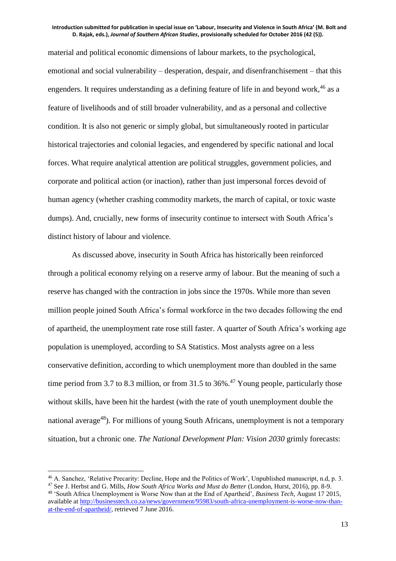material and political economic dimensions of labour markets, to the psychological, emotional and social vulnerability – desperation, despair, and disenfranchisement – that this engenders. It requires understanding as a defining feature of life in and beyond work,  $46$  as a feature of livelihoods and of still broader vulnerability, and as a personal and collective condition. It is also not generic or simply global, but simultaneously rooted in particular historical trajectories and colonial legacies, and engendered by specific national and local forces. What require analytical attention are political struggles, government policies, and corporate and political action (or inaction), rather than just impersonal forces devoid of human agency (whether crashing commodity markets, the march of capital, or toxic waste dumps). And, crucially, new forms of insecurity continue to intersect with South Africa's distinct history of labour and violence.

As discussed above, insecurity in South Africa has historically been reinforced through a political economy relying on a reserve army of labour. But the meaning of such a reserve has changed with the contraction in jobs since the 1970s. While more than seven million people joined South Africa's formal workforce in the two decades following the end of apartheid, the unemployment rate rose still faster. A quarter of South Africa's working age population is unemployed, according to SA Statistics. Most analysts agree on a less conservative definition, according to which unemployment more than doubled in the same time period from 3.7 to 8.3 million, or from 31.5 to  $36\%$ <sup>47</sup> Young people, particularly those without skills, have been hit the hardest (with the rate of youth unemployment double the national average<sup>48</sup>). For millions of young South Africans, unemployment is not a temporary situation, but a chronic one. *The National Development Plan: Vision 2030* grimly forecasts:

<sup>46</sup> A. Sanchez, 'Relative Precarity: Decline, Hope and the Politics of Work', Unpublished manuscript, n.d, p. 3.

<sup>47</sup> See J. Herbst and G. Mills, *How South Africa Works and Must do Better* (London, Hurst, 2016), pp. 8-9. <sup>48</sup> 'South Africa Unemployment is Worse Now than at the End of Apartheid', *Business Tech*, August 17 2015, available at [http://businesstech.co.za/news/government/95983/south-africa-unemployment-is-worse-now-than](http://businesstech.co.za/news/government/95983/south-africa-unemployment-is-worse-now-than-at-the-end-of-apartheid/)[at-the-end-of-apartheid/,](http://businesstech.co.za/news/government/95983/south-africa-unemployment-is-worse-now-than-at-the-end-of-apartheid/) retrieved 7 June 2016.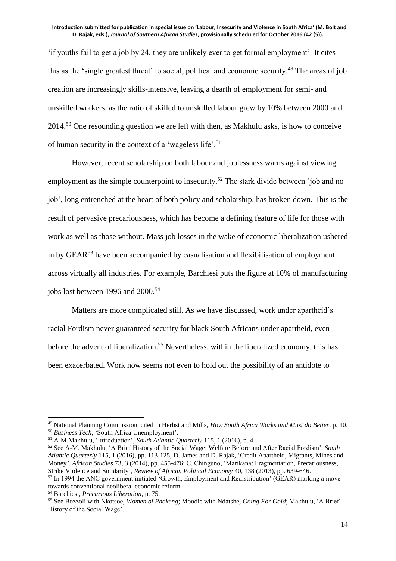'if youths fail to get a job by 24, they are unlikely ever to get formal employment'. It cites this as the 'single greatest threat' to social, political and economic security. <sup>49</sup> The areas of job creation are increasingly skills-intensive, leaving a dearth of employment for semi- and unskilled workers, as the ratio of skilled to unskilled labour grew by 10% between 2000 and 2014.<sup>50</sup> One resounding question we are left with then, as Makhulu asks, is how to conceive of human security in the context of a 'wageless life'. 51

However, recent scholarship on both labour and joblessness warns against viewing employment as the simple counterpoint to insecurity.<sup>52</sup> The stark divide between 'job and no job', long entrenched at the heart of both policy and scholarship, has broken down. This is the result of pervasive precariousness, which has become a defining feature of life for those with work as well as those without. Mass job losses in the wake of economic liberalization ushered in by GEAR<sup>53</sup> have been accompanied by casualisation and flexibilisation of employment across virtually all industries. For example, Barchiesi puts the figure at 10% of manufacturing jobs lost between 1996 and 2000. 54

Matters are more complicated still. As we have discussed, work under apartheid's racial Fordism never guaranteed security for black South Africans under apartheid, even before the advent of liberalization. <sup>55</sup> Nevertheless, within the liberalized economy, this has been exacerbated. Work now seems not even to hold out the possibility of an antidote to

<sup>49</sup> National Planning Commission, cited in Herbst and Mills, *How South Africa Works and Must do Better*, p. 10. <sup>50</sup> *Business Tech*, 'South Africa Unemployment'.

<sup>51</sup> A-M Makhulu, 'Introduction', *South Atlantic Quarterly* 115, 1 (2016), p. 4.

<sup>52</sup> See A-M. Makhulu, 'A Brief History of the Social Wage: Welfare Before and After Racial Fordism', *South Atlantic Quarterly* 115, 1 (2016), pp. 113-125; D. James and D. Rajak, 'Credit Apartheid, Migrants, Mines and Money*'. African Studies* 73, 3 (2014), pp. 455-476; C. Chinguno, 'Marikana: Fragmentation, Precariousness, Strike Violence and Solidarity', *Review of African Political Economy* 40, 138 (2013), pp. 639-646.

<sup>53</sup> In 1994 the ANC government initiated 'Growth, Employment and Redistribution' (GEAR) marking a move towards conventional neoliberal economic reform.

<sup>54</sup> Barchiesi, *Precarious Liberation*, p. 75.

<sup>55</sup> See Bozzoli with Nkotsoe, *Women of Phokeng*; Moodie with Ndatshe, *Going For Gold*; Makhulu, 'A Brief History of the Social Wage'.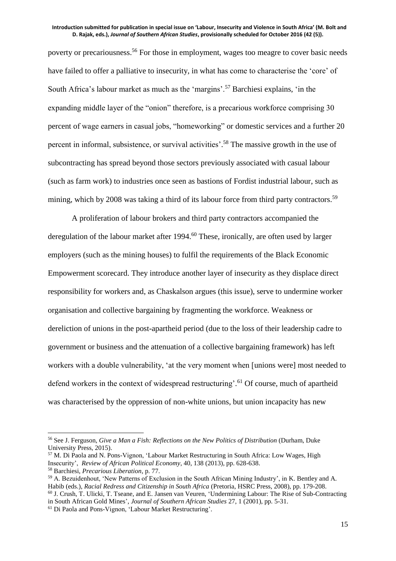poverty or precariousness.<sup>56</sup> For those in employment, wages too meagre to cover basic needs have failed to offer a palliative to insecurity, in what has come to characterise the 'core' of South Africa's labour market as much as the 'margins'.<sup>57</sup> Barchiesi explains, 'in the expanding middle layer of the "onion" therefore, is a precarious workforce comprising 30 percent of wage earners in casual jobs, "homeworking" or domestic services and a further 20 percent in informal, subsistence, or survival activities'. <sup>58</sup> The massive growth in the use of subcontracting has spread beyond those sectors previously associated with casual labour (such as farm work) to industries once seen as bastions of Fordist industrial labour, such as mining, which by 2008 was taking a third of its labour force from third party contractors.<sup>59</sup>

A proliferation of labour brokers and third party contractors accompanied the deregulation of the labour market after 1994.<sup>60</sup> These, ironically, are often used by larger employers (such as the mining houses) to fulfil the requirements of the Black Economic Empowerment scorecard. They introduce another layer of insecurity as they displace direct responsibility for workers and, as Chaskalson argues (this issue), serve to undermine worker organisation and collective bargaining by fragmenting the workforce. Weakness or dereliction of unions in the post-apartheid period (due to the loss of their leadership cadre to government or business and the attenuation of a collective bargaining framework) has left workers with a double vulnerability, 'at the very moment when [unions were] most needed to defend workers in the context of widespread restructuring'. <sup>61</sup> Of course, much of apartheid was characterised by the oppression of non-white unions, but union incapacity has new

<sup>56</sup> See J. Ferguson, *Give a Man a Fish: Reflections on the New Politics of Distribution* (Durham, Duke University Press, 2015).

<sup>&</sup>lt;sup>57</sup> M. Di Paola and N. Pons-Vignon, 'Labour Market Restructuring in South Africa: Low Wages, High Insecurity', *Review of African Political Economy*, 40, 138 (2013), pp. 628-638.

<sup>58</sup> Barchiesi, *Precarious Liberation*, p. 77.

<sup>59</sup> A. Bezuidenhout, 'New Patterns of Exclusion in the South African Mining Industry', in K. Bentley and A. Habib (eds.), *Racial Redress and Citizenship in South Africa* (Pretoria, HSRC Press, 2008), pp. 179-208. <sup>60</sup> J. Crush, T. Ulicki, T. Tseane, and E. Jansen van Veuren, 'Undermining Labour: The Rise of Sub-Contracting in South African Gold Mines', *Journal of Southern African Studies* 27, 1 (2001), pp. 5-31.

<sup>61</sup> Di Paola and Pons-Vignon, 'Labour Market Restructuring'.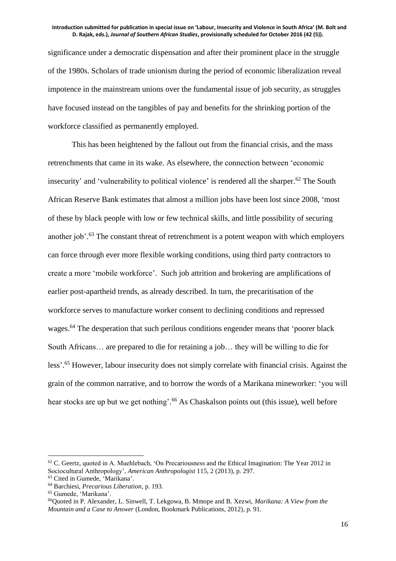significance under a democratic dispensation and after their prominent place in the struggle of the 1980s. Scholars of trade unionism during the period of economic liberalization reveal impotence in the mainstream unions over the fundamental issue of job security, as struggles have focused instead on the tangibles of pay and benefits for the shrinking portion of the workforce classified as permanently employed.

This has been heightened by the fallout out from the financial crisis, and the mass retrenchments that came in its wake. As elsewhere, the connection between 'economic insecurity' and 'vulnerability to political violence' is rendered all the sharper.<sup>62</sup> The South African Reserve Bank estimates that almost a million jobs have been lost since 2008, 'most of these by black people with low or few technical skills, and little possibility of securing another job'.<sup>63</sup> The constant threat of retrenchment is a potent weapon with which employers can force through ever more flexible working conditions, using third party contractors to create a more 'mobile workforce'. Such job attrition and brokering are amplifications of earlier post-apartheid trends, as already described. In turn, the precaritisation of the workforce serves to manufacture worker consent to declining conditions and repressed wages.<sup>64</sup> The desperation that such perilous conditions engender means that 'poorer black South Africans… are prepared to die for retaining a job… they will be willing to die for less'. <sup>65</sup> However, labour insecurity does not simply correlate with financial crisis. Against the grain of the common narrative, and to borrow the words of a Marikana mineworker: 'you will hear stocks are up but we get nothing'.<sup>66</sup> As Chaskalson points out (this issue), well before

<sup>&</sup>lt;sup>62</sup> C. Geertz, quoted in A. Muehlebach, 'On Precariousness and the Ethical Imagination: The Year 2012 in Sociocultural Anthropology', *American Anthropologist* 115, 2 (2013), p. 297.

<sup>63</sup> Cited in Gumede, 'Marikana'.

<sup>64</sup> Barchiesi, *Precarious Liberation*, p. 193.

<sup>65</sup> Gumede, 'Marikana'.

<sup>66</sup>Quoted in P. Alexander, L. Sinwell, T. Lekgowa, B. Mmope and B. Xezwi, *Marikana: A View from the Mountain and a Case to Answer* (London, Bookmark Publications, 2012), p. 91.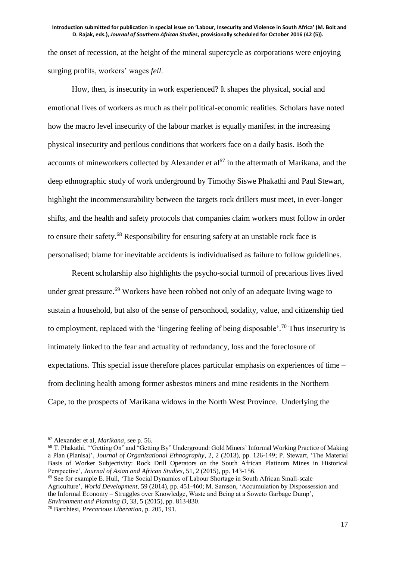the onset of recession, at the height of the mineral supercycle as corporations were enjoying surging profits, workers' wages *fell*.

How, then, is insecurity in work experienced? It shapes the physical, social and emotional lives of workers as much as their political-economic realities. Scholars have noted how the macro level insecurity of the labour market is equally manifest in the increasing physical insecurity and perilous conditions that workers face on a daily basis. Both the accounts of mineworkers collected by Alexander et  $al^{67}$  in the aftermath of Marikana, and the deep ethnographic study of work underground by Timothy Siswe Phakathi and Paul Stewart, highlight the incommensurability between the targets rock drillers must meet, in ever-longer shifts, and the health and safety protocols that companies claim workers must follow in order to ensure their safety.<sup>68</sup> Responsibility for ensuring safety at an unstable rock face is personalised; blame for inevitable accidents is individualised as failure to follow guidelines.

Recent scholarship also highlights the psycho-social turmoil of precarious lives lived under great pressure. <sup>69</sup> Workers have been robbed not only of an adequate living wage to sustain a household, but also of the sense of personhood, sodality, value, and citizenship tied to employment, replaced with the 'lingering feeling of being disposable'.<sup>70</sup> Thus insecurity is intimately linked to the fear and actuality of redundancy, loss and the foreclosure of expectations. This special issue therefore places particular emphasis on experiences of time – from declining health among former asbestos miners and mine residents in the Northern Cape, to the prospects of Marikana widows in the North West Province. Underlying the

**.** 

<sup>69</sup> See for example E. Hull, 'The Social Dynamics of Labour Shortage in South African Small-scale Agriculture', *World Development*, 59 (2014), pp. 451-460; M. Samson, 'Accumulation by Dispossession and the Informal Economy – Struggles over Knowledge, Waste and Being at a Soweto Garbage Dump', *Environment and Planning D*, 33, 5 (2015), pp. 813-830.

<sup>67</sup> Alexander et al, *Marikana*, see p. 56.

<sup>68</sup> T. Phakathi, '"Getting On" and "Getting By" Underground: Gold Miners' Informal Working Practice of Making a Plan (Planisa)', *Journal of Organizational Ethnography*, 2, 2 (2013), pp. 126-149; P. Stewart, 'The Material Basis of Worker Subjectivity: Rock Drill Operators on the South African Platinum Mines in Historical Perspective', *Journal of Asian and African Studies*, 51, 2 (2015), pp. 143-156.

<sup>70</sup> Barchiesi, *Precarious Liberation*, p. 205, 191.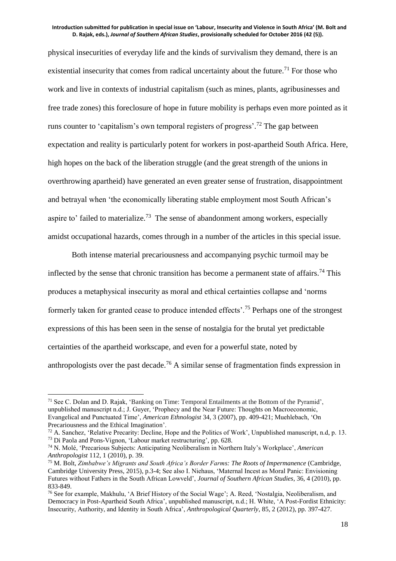physical insecurities of everyday life and the kinds of survivalism they demand, there is an existential insecurity that comes from radical uncertainty about the future.<sup>71</sup> For those who work and live in contexts of industrial capitalism (such as mines, plants, agribusinesses and free trade zones) this foreclosure of hope in future mobility is perhaps even more pointed as it runs counter to 'capitalism's own temporal registers of progress'.<sup>72</sup> The gap between expectation and reality is particularly potent for workers in post-apartheid South Africa. Here, high hopes on the back of the liberation struggle (and the great strength of the unions in overthrowing apartheid) have generated an even greater sense of frustration, disappointment and betrayal when 'the economically liberating stable employment most South African's aspire to' failed to materialize.<sup>73</sup> The sense of abandonment among workers, especially amidst occupational hazards, comes through in a number of the articles in this special issue.

Both intense material precariousness and accompanying psychic turmoil may be inflected by the sense that chronic transition has become a permanent state of affairs.<sup>74</sup> This produces a metaphysical insecurity as moral and ethical certainties collapse and 'norms formerly taken for granted cease to produce intended effects'.<sup>75</sup> Perhaps one of the strongest expressions of this has been seen in the sense of nostalgia for the brutal yet predictable certainties of the apartheid workscape, and even for a powerful state, noted by anthropologists over the past decade.<sup>76</sup> A similar sense of fragmentation finds expression in

1

<sup>72</sup> A. Sanchez, 'Relative Precarity: Decline, Hope and the Politics of Work', Unpublished manuscript, n.d, p. 13. <sup>73</sup> Di Paola and Pons-Vignon, 'Labour market restructuring', pp. 628.

 $71$  See C. Dolan and D. Rajak, 'Banking on Time: Temporal Entailments at the Bottom of the Pyramid', unpublished manuscript n.d.; J. Guyer, 'Prophecy and the Near Future: Thoughts on Macroeconomic, Evangelical and Punctuated Time', *American Ethnologist* 34, 3 (2007), pp. 409-421; Muehlebach, 'On Precariousness and the Ethical Imagination'.

<sup>74</sup> N. Molé, 'Precarious Subjects: Anticipating Neoliberalism in Northern Italy's Workplace', *American Anthropologist* 112, 1 (2010), p. 39.

<sup>75</sup> M. Bolt, *Zimbabwe's Migrants and South Africa's Border Farms: The Roots of Impermanence* (Cambridge, Cambridge University Press, 2015), p.3-4; See also I. Niehaus, 'Maternal Incest as Moral Panic: Envisioning Futures without Fathers in the South African Lowveld', *Journal of Southern African Studies*, 36, 4 (2010), pp. 833-849.

<sup>76</sup> See for example, Makhulu, 'A Brief History of the Social Wage'; A. Reed, 'Nostalgia, Neoliberalism, and Democracy in Post-Apartheid South Africa', unpublished manuscript, n.d.; H. White, 'A Post-Fordist Ethnicity: Insecurity, Authority, and Identity in South Africa', *Anthropological Quarterly*, 85, 2 (2012), pp. 397-427.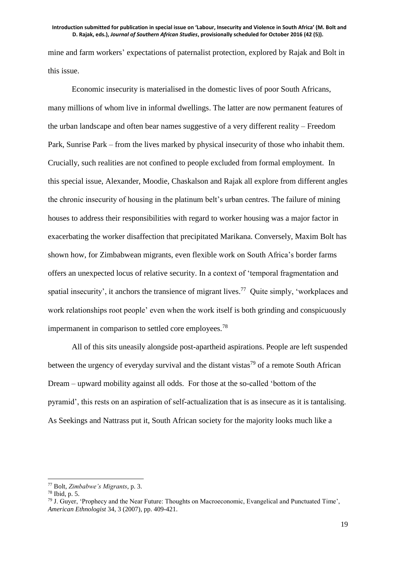mine and farm workers' expectations of paternalist protection, explored by Rajak and Bolt in this issue.

Economic insecurity is materialised in the domestic lives of poor South Africans, many millions of whom live in informal dwellings. The latter are now permanent features of the urban landscape and often bear names suggestive of a very different reality – Freedom Park, Sunrise Park – from the lives marked by physical insecurity of those who inhabit them. Crucially, such realities are not confined to people excluded from formal employment. In this special issue, Alexander, Moodie, Chaskalson and Rajak all explore from different angles the chronic insecurity of housing in the platinum belt's urban centres. The failure of mining houses to address their responsibilities with regard to worker housing was a major factor in exacerbating the worker disaffection that precipitated Marikana. Conversely, Maxim Bolt has shown how, for Zimbabwean migrants, even flexible work on South Africa's border farms offers an unexpected locus of relative security. In a context of 'temporal fragmentation and spatial insecurity', it anchors the transience of migrant lives.<sup>77</sup> Quite simply, 'workplaces and work relationships root people' even when the work itself is both grinding and conspicuously impermanent in comparison to settled core employees.<sup>78</sup>

All of this sits uneasily alongside post-apartheid aspirations. People are left suspended between the urgency of everyday survival and the distant vistas<sup>79</sup> of a remote South African Dream – upward mobility against all odds. For those at the so-called 'bottom of the pyramid', this rests on an aspiration of self-actualization that is as insecure as it is tantalising. As Seekings and Nattrass put it, South African society for the majority looks much like a

<sup>77</sup> Bolt, *Zimbabwe's Migrants*, p. 3.

<sup>78</sup> Ibid, p. 5.

 $79$  J. Guyer, 'Prophecy and the Near Future: Thoughts on Macroeconomic, Evangelical and Punctuated Time', *American Ethnologist* 34, 3 (2007), pp. 409-421.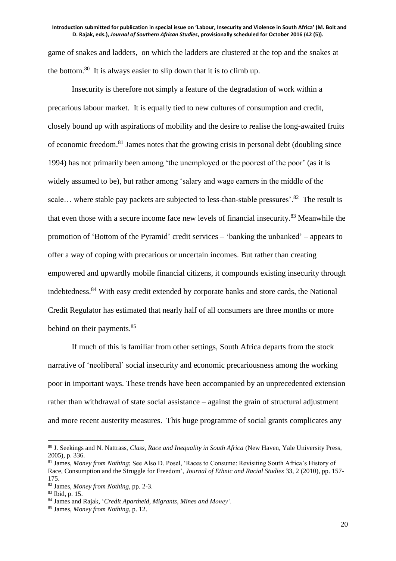game of snakes and ladders, on which the ladders are clustered at the top and the snakes at the bottom.<sup>80</sup> It is always easier to slip down that it is to climb up.

Insecurity is therefore not simply a feature of the degradation of work within a precarious labour market. It is equally tied to new cultures of consumption and credit, closely bound up with aspirations of mobility and the desire to realise the long-awaited fruits of economic freedom. <sup>81</sup> James notes that the growing crisis in personal debt (doubling since 1994) has not primarily been among 'the unemployed or the poorest of the poor' (as it is widely assumed to be), but rather among 'salary and wage earners in the middle of the scale... where stable pay packets are subjected to less-than-stable pressures'.<sup>82</sup> The result is that even those with a secure income face new levels of financial insecurity. <sup>83</sup> Meanwhile the promotion of 'Bottom of the Pyramid' credit services – 'banking the unbanked' – appears to offer a way of coping with precarious or uncertain incomes. But rather than creating empowered and upwardly mobile financial citizens, it compounds existing insecurity through indebtedness.<sup>84</sup> With easy credit extended by corporate banks and store cards, the National Credit Regulator has estimated that nearly half of all consumers are three months or more behind on their payments.<sup>85</sup>

If much of this is familiar from other settings, South Africa departs from the stock narrative of 'neoliberal' social insecurity and economic precariousness among the working poor in important ways. These trends have been accompanied by an unprecedented extension rather than withdrawal of state social assistance – against the grain of structural adjustment and more recent austerity measures. This huge programme of social grants complicates any

 $\overline{\phantom{a}}$ 

<sup>80</sup> J. Seekings and N. Nattrass, *Class, Race and Inequality in South Africa* (New Haven, Yale University Press, 2005), p. 336.

<sup>81</sup> James, *Money from Nothing*; See Also D. Posel, 'Races to Consume: Revisiting South Africa's History of Race, Consumption and the Struggle for Freedom', *Journal of Ethnic and Racial Studies* 33, 2 (2010), pp. 157- 175.

<sup>82</sup> James, *Money from Nothing*, pp. 2-3.

<sup>83</sup> Ibid, p. 15.

<sup>84</sup> James and Rajak, '*Credit Apartheid, Migrants, Mines and Money'.*

<sup>85</sup> James, *Money from Nothing*, p. 12.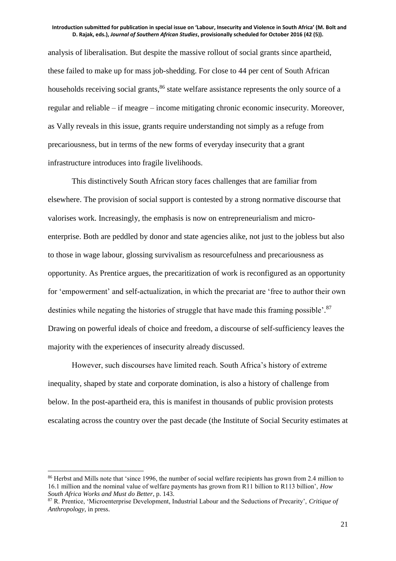analysis of liberalisation. But despite the massive rollout of social grants since apartheid, these failed to make up for mass job-shedding. For close to 44 per cent of South African households receiving social grants,<sup>86</sup> state welfare assistance represents the only source of a regular and reliable – if meagre – income mitigating chronic economic insecurity. Moreover, as Vally reveals in this issue, grants require understanding not simply as a refuge from precariousness, but in terms of the new forms of everyday insecurity that a grant infrastructure introduces into fragile livelihoods.

This distinctively South African story faces challenges that are familiar from elsewhere. The provision of social support is contested by a strong normative discourse that valorises work. Increasingly, the emphasis is now on entrepreneurialism and microenterprise. Both are peddled by donor and state agencies alike, not just to the jobless but also to those in wage labour, glossing survivalism as resourcefulness and precariousness as opportunity. As Prentice argues, the precaritization of work is reconfigured as an opportunity for 'empowerment' and self-actualization, in which the precariat are 'free to author their own destinies while negating the histories of struggle that have made this framing possible'.<sup>87</sup> Drawing on powerful ideals of choice and freedom, a discourse of self-sufficiency leaves the majority with the experiences of insecurity already discussed.

However, such discourses have limited reach. South Africa's history of extreme inequality, shaped by state and corporate domination, is also a history of challenge from below. In the post-apartheid era, this is manifest in thousands of public provision protests escalating across the country over the past decade (the Institute of Social Security estimates at

<sup>86</sup> Herbst and Mills note that 'since 1996, the number of social welfare recipients has grown from 2.4 million to 16.1 million and the nominal value of welfare payments has grown from R11 billion to R113 billion', *How South Africa Works and Must do Better*, p. 143.

<sup>87</sup> R. Prentice, 'Microenterprise Development, Industrial Labour and the Seductions of Precarity', *Critique of Anthropology*, in press.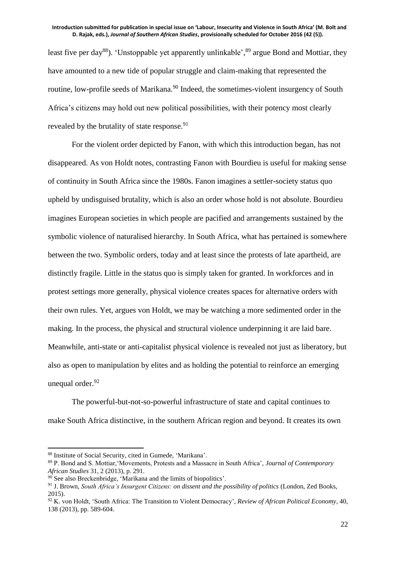least five per day<sup>88</sup>). 'Unstoppable yet apparently unlinkable', <sup>89</sup> argue Bond and Mottiar, they have amounted to a new tide of popular struggle and claim-making that represented the routine, low-profile seeds of Marikana.<sup>90</sup> Indeed, the sometimes-violent insurgency of South Africa's citizens may hold out new political possibilities, with their potency most clearly revealed by the brutality of state response.<sup>91</sup>

For the violent order depicted by Fanon, with which this introduction began, has not disappeared. As von Holdt notes, contrasting Fanon with Bourdieu is useful for making sense of continuity in South Africa since the 1980s. Fanon imagines a settler-society status quo upheld by undisguised brutality, which is also an order whose hold is not absolute. Bourdieu imagines European societies in which people are pacified and arrangements sustained by the symbolic violence of naturalised hierarchy. In South Africa, what has pertained is somewhere between the two. Symbolic orders, today and at least since the protests of late apartheid, are distinctly fragile. Little in the status quo is simply taken for granted. In workforces and in protest settings more generally, physical violence creates spaces for alternative orders with their own rules. Yet, argues von Holdt, we may be watching a more sedimented order in the making. In the process, the physical and structural violence underpinning it are laid bare. Meanwhile, anti-state or anti-capitalist physical violence is revealed not just as liberatory, but also as open to manipulation by elites and as holding the potential to reinforce an emerging unequal order.<sup>92</sup>

The powerful-but-not-so-powerful infrastructure of state and capital continues to make South Africa distinctive, in the southern African region and beyond. It creates its own

<sup>88</sup> Institute of Social Security, cited in Gumede, 'Marikana'.

<sup>89</sup> P. Bond and S. Mottiar,'Movements, Protests and a Massacre in South Africa', *Journal of Contemporary African Studies* 31, 2 (2013), p. 291.

 $90$  See also Breckenbridge, 'Marikana and the limits of biopolitics'.

<sup>91</sup> J. Brown, *South Africa's Insurgent Citizens: on dissent and the possibility of politics* (London, Zed Books, 2015).

<sup>92</sup> K. von Holdt, 'South Africa: The Transition to Violent Democracy', *Review of African Political Economy*, 40, 138 (2013), pp. 589-604.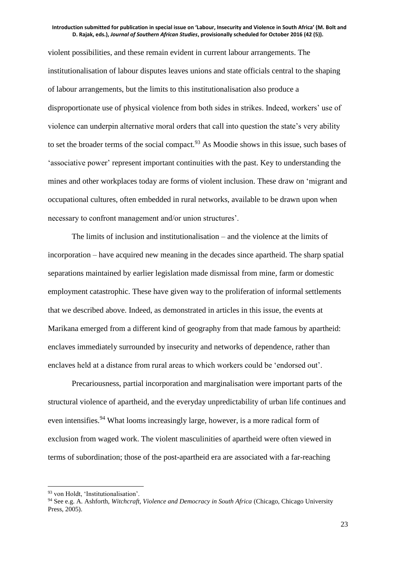violent possibilities, and these remain evident in current labour arrangements. The institutionalisation of labour disputes leaves unions and state officials central to the shaping of labour arrangements, but the limits to this institutionalisation also produce a disproportionate use of physical violence from both sides in strikes. Indeed, workers' use of violence can underpin alternative moral orders that call into question the state's very ability to set the broader terms of the social compact.<sup>93</sup> As Moodie shows in this issue, such bases of 'associative power' represent important continuities with the past. Key to understanding the mines and other workplaces today are forms of violent inclusion. These draw on 'migrant and occupational cultures, often embedded in rural networks, available to be drawn upon when necessary to confront management and/or union structures'.

The limits of inclusion and institutionalisation – and the violence at the limits of incorporation – have acquired new meaning in the decades since apartheid. The sharp spatial separations maintained by earlier legislation made dismissal from mine, farm or domestic employment catastrophic. These have given way to the proliferation of informal settlements that we described above. Indeed, as demonstrated in articles in this issue, the events at Marikana emerged from a different kind of geography from that made famous by apartheid: enclaves immediately surrounded by insecurity and networks of dependence, rather than enclaves held at a distance from rural areas to which workers could be 'endorsed out'.

Precariousness, partial incorporation and marginalisation were important parts of the structural violence of apartheid, and the everyday unpredictability of urban life continues and even intensifies.<sup>94</sup> What looms increasingly large, however, is a more radical form of exclusion from waged work. The violent masculinities of apartheid were often viewed in terms of subordination; those of the post-apartheid era are associated with a far-reaching

<sup>93</sup> von Holdt, 'Institutionalisation'.

<sup>94</sup> See e.g. A. Ashforth, *Witchcraft, Violence and Democracy in South Africa* (Chicago, Chicago University Press, 2005).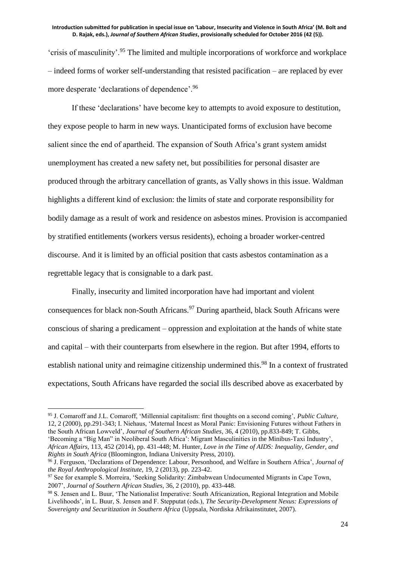'crisis of masculinity'.<sup>95</sup> The limited and multiple incorporations of workforce and workplace – indeed forms of worker self-understanding that resisted pacification – are replaced by ever more desperate 'declarations of dependence'.<sup>96</sup>

If these 'declarations' have become key to attempts to avoid exposure to destitution, they expose people to harm in new ways. Unanticipated forms of exclusion have become salient since the end of apartheid. The expansion of South Africa's grant system amidst unemployment has created a new safety net, but possibilities for personal disaster are produced through the arbitrary cancellation of grants, as Vally shows in this issue. Waldman highlights a different kind of exclusion: the limits of state and corporate responsibility for bodily damage as a result of work and residence on asbestos mines. Provision is accompanied by stratified entitlements (workers versus residents), echoing a broader worker-centred discourse. And it is limited by an official position that casts asbestos contamination as a regrettable legacy that is consignable to a dark past.

Finally, insecurity and limited incorporation have had important and violent consequences for black non-South Africans.<sup>97</sup> During apartheid, black South Africans were conscious of sharing a predicament – oppression and exploitation at the hands of white state and capital – with their counterparts from elsewhere in the region. But after 1994, efforts to establish national unity and reimagine citizenship undermined this.<sup>98</sup> In a context of frustrated expectations, South Africans have regarded the social ills described above as exacerbated by

<sup>95</sup> J. Comaroff and J.L. Comaroff, 'Millennial capitalism: first thoughts on a second coming', *Public Culture*, 12, 2 (2000), pp.291-343; I. Niehaus, 'Maternal Incest as Moral Panic: Envisioning Futures without Fathers in the South African Lowveld', *Journal of Southern African Studies*, 36, 4 (2010), pp.833-849; T. Gibbs, 'Becoming a "Big Man" in Neoliberal South Africa': Migrant Masculinities in the Minibus-Taxi Industry', *African Affairs*, 113, 452 (2014), pp. 431-448; M. Hunter, *Love in the Time of AIDS: Inequality, Gender, and Rights in South Africa* (Bloomington, Indiana University Press, 2010).

<sup>96</sup> J. Ferguson, 'Declarations of Dependence: Labour, Personhood, and Welfare in Southern Africa', *Journal of the Royal Anthropological Institute*, 19, 2 (2013), pp. 223-42.

<sup>&</sup>lt;sup>97</sup> See for example S. Morreira, 'Seeking Solidarity: Zimbabwean Undocumented Migrants in Cape Town, 2007', *Journal of Southern African Studies*, 36, 2 (2010), pp. 433-448.

<sup>98</sup> S. Jensen and L. Buur, 'The Nationalist Imperative: South Africanization, Regional Integration and Mobile Livelihoods', in L. Buur, S. Jensen and F. Stepputat (eds.), *The Security-Development Nexus: Expressions of Sovereignty and Securitization in Southern Africa* (Uppsala, Nordiska Afrikainstitutet, 2007).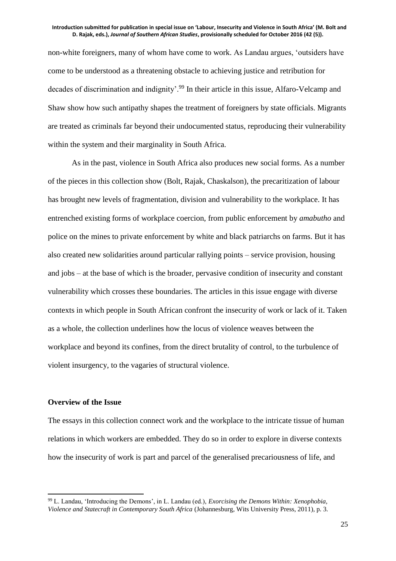non-white foreigners, many of whom have come to work. As Landau argues, 'outsiders have come to be understood as a threatening obstacle to achieving justice and retribution for decades of discrimination and indignity'.<sup>99</sup> In their article in this issue, Alfaro-Velcamp and Shaw show how such antipathy shapes the treatment of foreigners by state officials. Migrants are treated as criminals far beyond their undocumented status, reproducing their vulnerability within the system and their marginality in South Africa.

As in the past, violence in South Africa also produces new social forms. As a number of the pieces in this collection show (Bolt, Rajak, Chaskalson), the precaritization of labour has brought new levels of fragmentation, division and vulnerability to the workplace. It has entrenched existing forms of workplace coercion, from public enforcement by *amabutho* and police on the mines to private enforcement by white and black patriarchs on farms. But it has also created new solidarities around particular rallying points – service provision, housing and jobs – at the base of which is the broader, pervasive condition of insecurity and constant vulnerability which crosses these boundaries. The articles in this issue engage with diverse contexts in which people in South African confront the insecurity of work or lack of it. Taken as a whole, the collection underlines how the locus of violence weaves between the workplace and beyond its confines, from the direct brutality of control, to the turbulence of violent insurgency, to the vagaries of structural violence.

### **Overview of the Issue**

**.** 

The essays in this collection connect work and the workplace to the intricate tissue of human relations in which workers are embedded. They do so in order to explore in diverse contexts how the insecurity of work is part and parcel of the generalised precariousness of life, and

<sup>99</sup> L. Landau, 'Introducing the Demons', in L. Landau (ed.), *Exorcising the Demons Within: Xenophobia, Violence and Statecraft in Contemporary South Africa* (Johannesburg, Wits University Press, 2011), p. 3.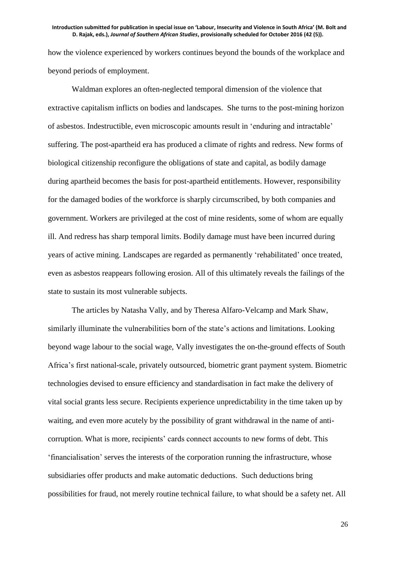how the violence experienced by workers continues beyond the bounds of the workplace and beyond periods of employment.

Waldman explores an often-neglected temporal dimension of the violence that extractive capitalism inflicts on bodies and landscapes. She turns to the post-mining horizon of asbestos. Indestructible, even microscopic amounts result in 'enduring and intractable' suffering. The post-apartheid era has produced a climate of rights and redress. New forms of biological citizenship reconfigure the obligations of state and capital, as bodily damage during apartheid becomes the basis for post-apartheid entitlements. However, responsibility for the damaged bodies of the workforce is sharply circumscribed, by both companies and government. Workers are privileged at the cost of mine residents, some of whom are equally ill. And redress has sharp temporal limits. Bodily damage must have been incurred during years of active mining. Landscapes are regarded as permanently 'rehabilitated' once treated, even as asbestos reappears following erosion. All of this ultimately reveals the failings of the state to sustain its most vulnerable subjects.

The articles by Natasha Vally, and by Theresa Alfaro-Velcamp and Mark Shaw, similarly illuminate the vulnerabilities born of the state's actions and limitations. Looking beyond wage labour to the social wage, Vally investigates the on-the-ground effects of South Africa's first national-scale, privately outsourced, biometric grant payment system. Biometric technologies devised to ensure efficiency and standardisation in fact make the delivery of vital social grants less secure. Recipients experience unpredictability in the time taken up by waiting, and even more acutely by the possibility of grant withdrawal in the name of anticorruption. What is more, recipients' cards connect accounts to new forms of debt. This 'financialisation' serves the interests of the corporation running the infrastructure, whose subsidiaries offer products and make automatic deductions. Such deductions bring possibilities for fraud, not merely routine technical failure, to what should be a safety net. All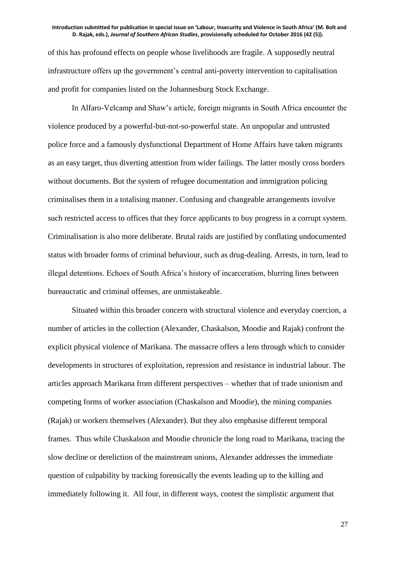of this has profound effects on people whose livelihoods are fragile. A supposedly neutral infrastructure offers up the government's central anti-poverty intervention to capitalisation and profit for companies listed on the Johannesburg Stock Exchange.

In Alfaro-Velcamp and Shaw's article, foreign migrants in South Africa encounter the violence produced by a powerful-but-not-so-powerful state. An unpopular and untrusted police force and a famously dysfunctional Department of Home Affairs have taken migrants as an easy target, thus diverting attention from wider failings. The latter mostly cross borders without documents. But the system of refugee documentation and immigration policing criminalises them in a totalising manner. Confusing and changeable arrangements involve such restricted access to offices that they force applicants to buy progress in a corrupt system. Criminalisation is also more deliberate. Brutal raids are justified by conflating undocumented status with broader forms of criminal behaviour, such as drug-dealing. Arrests, in turn, lead to illegal detentions. Echoes of South Africa's history of incarceration, blurring lines between bureaucratic and criminal offenses, are unmistakeable.

Situated within this broader concern with structural violence and everyday coercion, a number of articles in the collection (Alexander, Chaskalson, Moodie and Rajak) confront the explicit physical violence of Marikana. The massacre offers a lens through which to consider developments in structures of exploitation, repression and resistance in industrial labour. The articles approach Marikana from different perspectives – whether that of trade unionism and competing forms of worker association (Chaskalson and Moodie), the mining companies (Rajak) or workers themselves (Alexander). But they also emphasise different temporal frames. Thus while Chaskalson and Moodie chronicle the long road to Marikana, tracing the slow decline or dereliction of the mainstream unions, Alexander addresses the immediate question of culpability by tracking forensically the events leading up to the killing and immediately following it. All four, in different ways, contest the simplistic argument that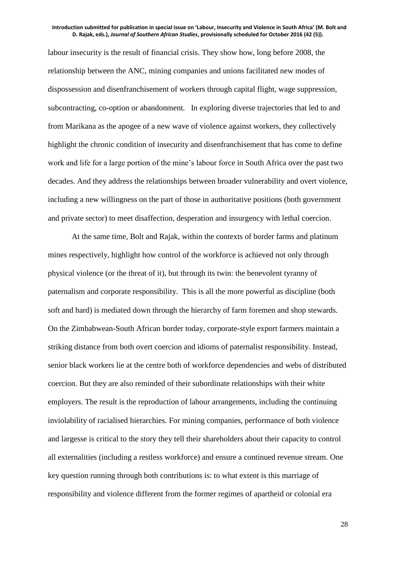labour insecurity is the result of financial crisis. They show how, long before 2008, the relationship between the ANC, mining companies and unions facilitated new modes of dispossession and disenfranchisement of workers through capital flight, wage suppression, subcontracting, co-option or abandonment. In exploring diverse trajectories that led to and from Marikana as the apogee of a new wave of violence against workers, they collectively highlight the chronic condition of insecurity and disenfranchisement that has come to define work and life for a large portion of the mine's labour force in South Africa over the past two decades. And they address the relationships between broader vulnerability and overt violence, including a new willingness on the part of those in authoritative positions (both government and private sector) to meet disaffection, desperation and insurgency with lethal coercion.

At the same time, Bolt and Rajak, within the contexts of border farms and platinum mines respectively, highlight how control of the workforce is achieved not only through physical violence (or the threat of it), but through its twin: the benevolent tyranny of paternalism and corporate responsibility. This is all the more powerful as discipline (both soft and hard) is mediated down through the hierarchy of farm foremen and shop stewards. On the Zimbabwean-South African border today, corporate-style export farmers maintain a striking distance from both overt coercion and idioms of paternalist responsibility. Instead, senior black workers lie at the centre both of workforce dependencies and webs of distributed coercion. But they are also reminded of their subordinate relationships with their white employers. The result is the reproduction of labour arrangements, including the continuing inviolability of racialised hierarchies. For mining companies, performance of both violence and largesse is critical to the story they tell their shareholders about their capacity to control all externalities (including a restless workforce) and ensure a continued revenue stream. One key question running through both contributions is: to what extent is this marriage of responsibility and violence different from the former regimes of apartheid or colonial era